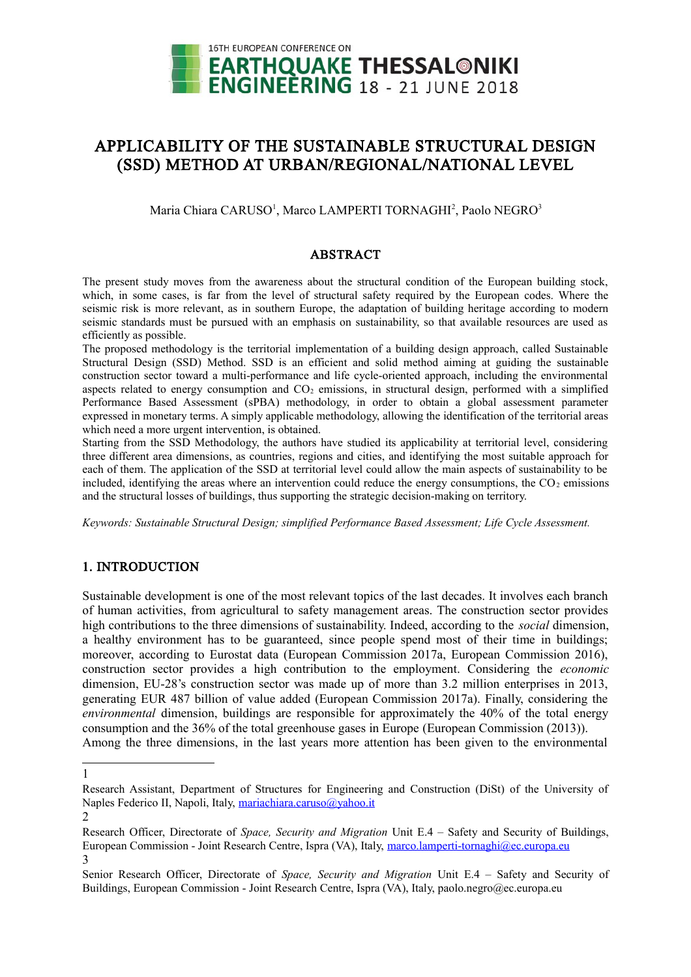

# APPLICABILITY OF THE SUSTAINABLE STRUCTURAL DESIGN (SSD) METHOD AT URBAN/REGIONAL/NATIONAL LEVEL

Maria Chiara CARUSO<sup>[1](#page-0-0)</sup>, Marco LAMPERTI TORNAGHI<sup>[2](#page-0-1)</sup>, Paolo NEGRO<sup>[3](#page-0-2)</sup>

## ABSTRACT

The present study moves from the awareness about the structural condition of the European building stock, which, in some cases, is far from the level of structural safety required by the European codes. Where the seismic risk is more relevant, as in southern Europe, the adaptation of building heritage according to modern seismic standards must be pursued with an emphasis on sustainability, so that available resources are used as efficiently as possible.

The proposed methodology is the territorial implementation of a building design approach, called Sustainable Structural Design (SSD) Method. SSD is an efficient and solid method aiming at guiding the sustainable construction sector toward a multi-performance and life cycle-oriented approach, including the environmental aspects related to energy consumption and  $CO<sub>2</sub>$  emissions, in structural design, performed with a simplified Performance Based Assessment (sPBA) methodology, in order to obtain a global assessment parameter expressed in monetary terms. A simply applicable methodology, allowing the identification of the territorial areas which need a more urgent intervention, is obtained.

Starting from the SSD Methodology, the authors have studied its applicability at territorial level, considering three different area dimensions, as countries, regions and cities, and identifying the most suitable approach for each of them. The application of the SSD at territorial level could allow the main aspects of sustainability to be included, identifying the areas where an intervention could reduce the energy consumptions, the  $CO<sub>2</sub>$  emissions and the structural losses of buildings, thus supporting the strategic decision-making on territory.

*Keywords: Sustainable Structural Design; simplified Performance Based Assessment; Life Cycle Assessment.*

# 1. INTRODUCTION

Sustainable development is one of the most relevant topics of the last decades. It involves each branch of human activities, from agricultural to safety management areas. The construction sector provides high contributions to the three dimensions of sustainability. Indeed, according to the *social* dimension, a healthy environment has to be guaranteed, since people spend most of their time in buildings; moreover, according to Eurostat data (European Commission 2017a, European Commission 2016), construction sector provides a high contribution to the employment. Considering the *economic* dimension, EU-28's construction sector was made up of more than 3.2 million enterprises in 2013, generating EUR 487 billion of value added (European Commission 2017a). Finally, considering the *environmental* dimension, buildings are responsible for approximately the 40% of the total energy consumption and the 36% of the total greenhouse gases in Europe (European Commission (2013)). Among the three dimensions, in the last years more attention has been given to the environmental

<span id="page-0-0"></span><sup>1</sup>

Research Assistant, Department of Structures for Engineering and Construction (DiSt) of the University of Naples Federico II, Napoli, Italy, [mariachiara.caruso@yahoo.it](mailto:mariachiara.caruso@yahoo.it)

<span id="page-0-1"></span><sup>2</sup>

Research Officer, Directorate of *Space, Security and Migration* Unit E.4 – Safety and Security of Buildings, European Commission - Joint Research Centre, Ispra (VA), Italy, [marco.lamperti-tornaghi@ec.europa.eu](mailto:marco.lamperti-tornaghi@ec.europa.eu) 3

<span id="page-0-2"></span>Senior Research Officer, Directorate of *Space, Security and Migration* Unit E.4 – Safety and Security of Buildings, European Commission - Joint Research Centre, Ispra (VA), Italy, paolo.negro@ec.europa.eu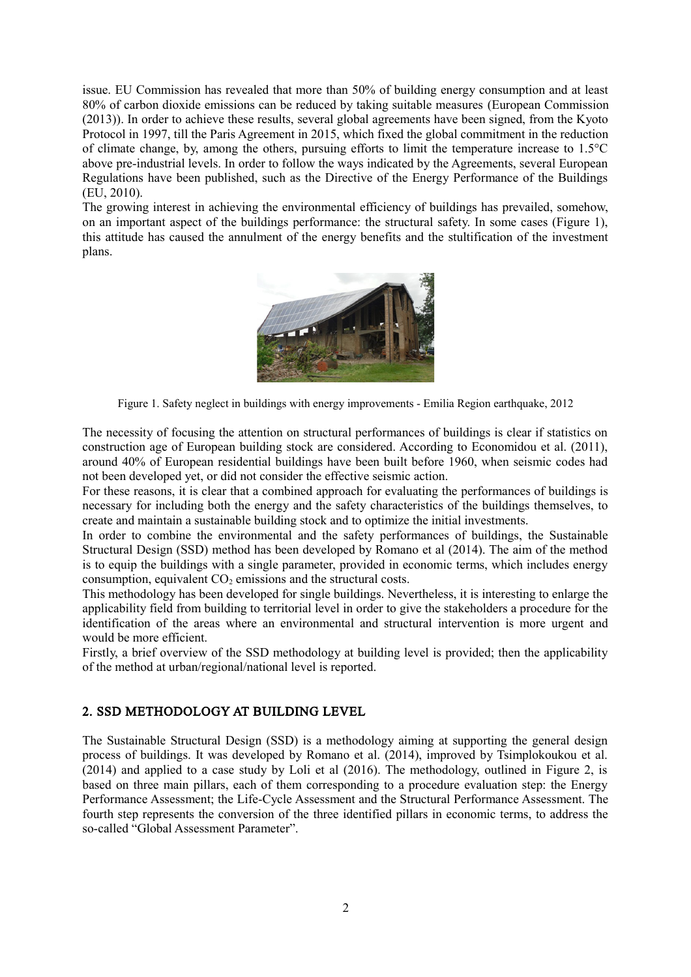issue. EU Commission has revealed that more than 50% of building energy consumption and at least 80% of carbon dioxide emissions can be reduced by taking suitable measures (European Commission (2013)). In order to achieve these results, several global agreements have been signed, from the Kyoto Protocol in 1997, till the Paris Agreement in 2015, which fixed the global commitment in the reduction of climate change, by, among the others, pursuing efforts to limit the temperature increase to 1.5°C above pre-industrial levels. In order to follow the ways indicated by the Agreements, several European Regulations have been published, such as the Directive of the Energy Performance of the Buildings (EU, 2010).

The growing interest in achieving the environmental efficiency of buildings has prevailed, somehow, on an important aspect of the buildings performance: the structural safety. In some cases (Figure 1), this attitude has caused the annulment of the energy benefits and the stultification of the investment plans.



Figure 1. Safety neglect in buildings with energy improvements - Emilia Region earthquake, 2012

The necessity of focusing the attention on structural performances of buildings is clear if statistics on construction age of European building stock are considered. According to Economidou et al. (2011), around 40% of European residential buildings have been built before 1960, when seismic codes had not been developed yet, or did not consider the effective seismic action.

For these reasons, it is clear that a combined approach for evaluating the performances of buildings is necessary for including both the energy and the safety characteristics of the buildings themselves, to create and maintain a sustainable building stock and to optimize the initial investments.

In order to combine the environmental and the safety performances of buildings, the Sustainable Structural Design (SSD) method has been developed by Romano et al (2014). The aim of the method is to equip the buildings with a single parameter, provided in economic terms, which includes energy consumption, equivalent  $CO<sub>2</sub>$  emissions and the structural costs.

This methodology has been developed for single buildings. Nevertheless, it is interesting to enlarge the applicability field from building to territorial level in order to give the stakeholders a procedure for the identification of the areas where an environmental and structural intervention is more urgent and would be more efficient.

Firstly, a brief overview of the SSD methodology at building level is provided; then the applicability of the method at urban/regional/national level is reported.

# 2. SSD METHODOLOGY AT BUILDING LEVEL

The Sustainable Structural Design (SSD) is a methodology aiming at supporting the general design process of buildings. It was developed by Romano et al. (2014), improved by Tsimplokoukou et al. (2014) and applied to a case study by Loli et al (2016). The methodology, outlined in Figure 2, is based on three main pillars, each of them corresponding to a procedure evaluation step: the Energy Performance Assessment; the Life-Cycle Assessment and the Structural Performance Assessment. The fourth step represents the conversion of the three identified pillars in economic terms, to address the so-called "Global Assessment Parameter".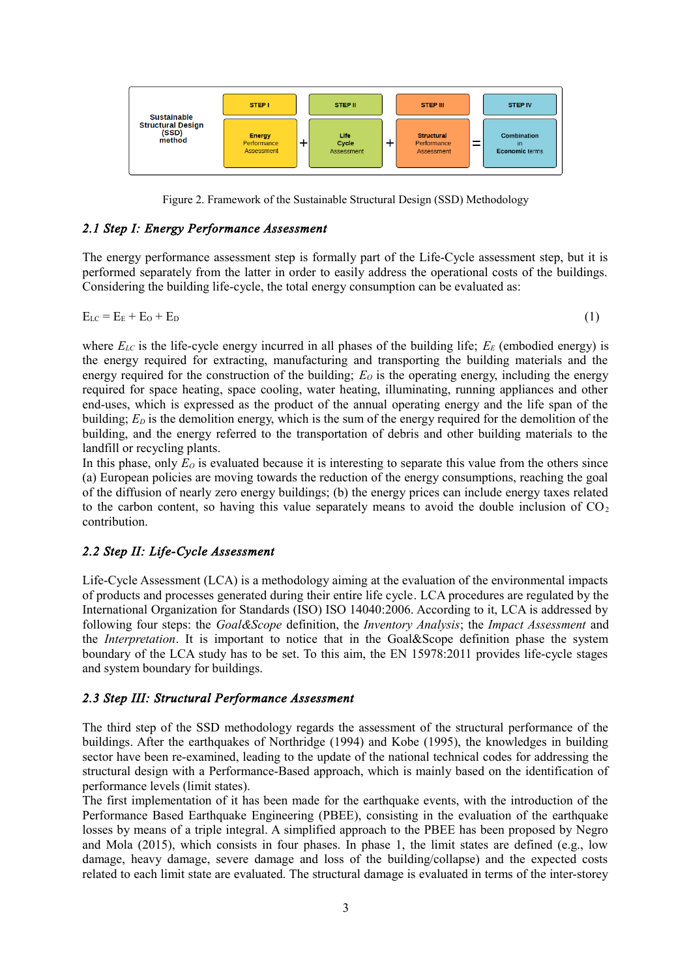

Figure 2. Framework of the Sustainable Structural Design (SSD) Methodology

#### *2.1 Step I: Energy Performance Assessment*

The energy performance assessment step is formally part of the Life-Cycle assessment step, but it is performed separately from the latter in order to easily address the operational costs of the buildings. Considering the building life-cycle, the total energy consumption can be evaluated as:

$$
E_{LC} = E_E + E_O + E_D \tag{1}
$$

where  $E_{LC}$  is the life-cycle energy incurred in all phases of the building life;  $E_F$  (embodied energy) is the energy required for extracting, manufacturing and transporting the building materials and the energy required for the construction of the building;  $E<sub>O</sub>$  is the operating energy, including the energy required for space heating, space cooling, water heating, illuminating, running appliances and other end-uses, which is expressed as the product of the annual operating energy and the life span of the building;  $E<sub>D</sub>$  is the demolition energy, which is the sum of the energy required for the demolition of the building, and the energy referred to the transportation of debris and other building materials to the landfill or recycling plants.

In this phase, only  $E<sub>O</sub>$  is evaluated because it is interesting to separate this value from the others since (a) European policies are moving towards the reduction of the energy consumptions, reaching the goal of the diffusion of nearly zero energy buildings; (b) the energy prices can include energy taxes related to the carbon content, so having this value separately means to avoid the double inclusion of  $CO<sub>2</sub>$ contribution.

#### *2.2 Step II: Life-Cycle Assessment*

Life-Cycle Assessment (LCA) is a methodology aiming at the evaluation of the environmental impacts of products and processes generated during their entire life cycle. LCA procedures are regulated by the International Organization for Standards (ISO) ISO 14040:2006. According to it, LCA is addressed by following four steps: the *Goal&Scope* definition, the *Inventory Analysis*; the *Impact Assessment* and the *Interpretation*. It is important to notice that in the Goal&Scope definition phase the system boundary of the LCA study has to be set. To this aim, the EN 15978:2011 provides life-cycle stages and system boundary for buildings.

#### *2.3 Step III: Structural Performance Assessment*

The third step of the SSD methodology regards the assessment of the structural performance of the buildings. After the earthquakes of Northridge (1994) and Kobe (1995), the knowledges in building sector have been re-examined, leading to the update of the national technical codes for addressing the structural design with a Performance-Based approach, which is mainly based on the identification of performance levels (limit states).

The first implementation of it has been made for the earthquake events, with the introduction of the Performance Based Earthquake Engineering (PBEE), consisting in the evaluation of the earthquake losses by means of a triple integral. A simplified approach to the PBEE has been proposed by Negro and Mola (2015), which consists in four phases. In phase 1, the limit states are defined (e.g., low damage, heavy damage, severe damage and loss of the building/collapse) and the expected costs related to each limit state are evaluated. The structural damage is evaluated in terms of the inter-storey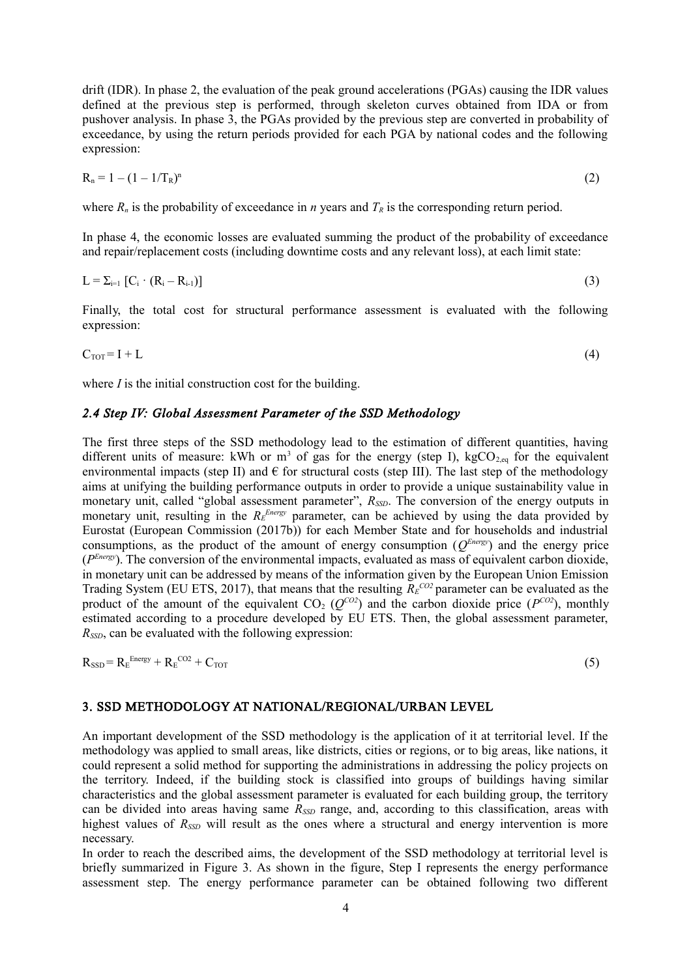drift (IDR). In phase 2, the evaluation of the peak ground accelerations (PGAs) causing the IDR values defined at the previous step is performed, through skeleton curves obtained from IDA or from pushover analysis. In phase 3, the PGAs provided by the previous step are converted in probability of exceedance, by using the return periods provided for each PGA by national codes and the following expression:

$$
R_n = 1 - (1 - 1/T_R)^n \tag{2}
$$

where  $R_n$  is the probability of exceedance in *n* years and  $T_R$  is the corresponding return period.

In phase 4, the economic losses are evaluated summing the product of the probability of exceedance and repair/replacement costs (including downtime costs and any relevant loss), at each limit state:

$$
L = \sum_{i=1}^{\infty} [C_i \cdot (R_i - R_{i-1})]
$$
\n
$$
(3)
$$

Finally, the total cost for structural performance assessment is evaluated with the following expression:

$$
C_{\text{TOT}} = I + L \tag{4}
$$

where *I* is the initial construction cost for the building.

#### *2.4 Step IV: Global Assessment Parameter of the SSD Methodology*

The first three steps of the SSD methodology lead to the estimation of different quantities, having different units of measure: kWh or  $m<sup>3</sup>$  of gas for the energy (step I), kgCO<sub>2,eq</sub> for the equivalent environmental impacts (step II) and  $\epsilon$  for structural costs (step III). The last step of the methodology aims at unifying the building performance outputs in order to provide a unique sustainability value in monetary unit, called "global assessment parameter",  $R_{SSD}$ . The conversion of the energy outputs in monetary unit, resulting in the  $R_E^{Energy}$  parameter, can be achieved by using the data provided by Eurostat (European Commission (2017b)) for each Member State and for households and industrial consumptions, as the product of the amount of energy consumption  $(Q^{Energy})$  and the energy price (*P Energy*). The conversion of the environmental impacts, evaluated as mass of equivalent carbon dioxide, in monetary unit can be addressed by means of the information given by the European Union Emission Trading System (EU ETS, 2017), that means that the resulting  $R_E^{CO2}$  parameter can be evaluated as the product of the amount of the equivalent  $CO_2$  ( $Q^{CO2}$ ) and the carbon dioxide price ( $P^{CO2}$ ), monthly estimated according to a procedure developed by EU ETS. Then, the global assessment parameter, *RSSD*, can be evaluated with the following expression:

 $R_{SSD} = R_{E}^{Energy} + R_{E}^{CO2} + C_{TOT}$  (5)

#### 3. SSD METHODOLOGY AT NATIONAL/REGIONAL/URBAN LEVEL

An important development of the SSD methodology is the application of it at territorial level. If the methodology was applied to small areas, like districts, cities or regions, or to big areas, like nations, it could represent a solid method for supporting the administrations in addressing the policy projects on the territory. Indeed, if the building stock is classified into groups of buildings having similar characteristics and the global assessment parameter is evaluated for each building group, the territory can be divided into areas having same  $R_{SSD}$  range, and, according to this classification, areas with highest values of  $R<sub>SD</sub>$  will result as the ones where a structural and energy intervention is more necessary.

In order to reach the described aims, the development of the SSD methodology at territorial level is briefly summarized in Figure 3. As shown in the figure, Step I represents the energy performance assessment step. The energy performance parameter can be obtained following two different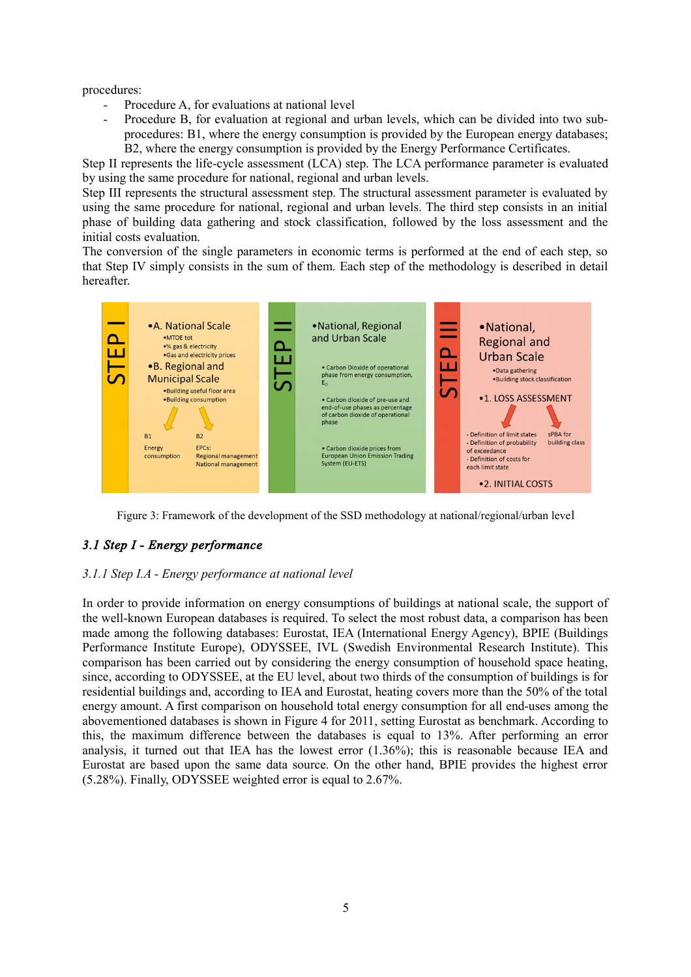procedures:

- Procedure A, for evaluations at national level
- Procedure B, for evaluation at regional and urban levels, which can be divided into two subprocedures: B1, where the energy consumption is provided by the European energy databases; B2, where the energy consumption is provided by the Energy Performance Certificates.

Step II represents the life-cycle assessment (LCA) step. The LCA performance parameter is evaluated by using the same procedure for national, regional and urban levels.

Step III represents the structural assessment step. The structural assessment parameter is evaluated by using the same procedure for national, regional and urban levels. The third step consists in an initial phase of building data gathering and stock classification, followed by the loss assessment and the initial costs evaluation.

The conversion of the single parameters in economic terms is performed at the end of each step, so that Step IV simply consists in the sum of them. Each step of the methodology is described in detail hereafter.



Figure 3: Framework of the development of the SSD methodology at national/regional/urban level

# *3.1 Step I - Energy performance*

# *3.1.1 Step I.A - Energy performance at national level*

In order to provide information on energy consumptions of buildings at national scale, the support of the well-known European databases is required. To select the most robust data, a comparison has been made among the following databases: Eurostat, IEA (International Energy Agency), BPIE (Buildings Performance Institute Europe), ODYSSEE, IVL (Swedish Environmental Research Institute). This comparison has been carried out by considering the energy consumption of household space heating, since, according to ODYSSEE, at the EU level, about two thirds of the consumption of buildings is for residential buildings and, according to IEA and Eurostat, heating covers more than the 50% of the total energy amount. A first comparison on household total energy consumption for all end-uses among the abovementioned databases is shown in Figure 4 for 2011, setting Eurostat as benchmark. According to this, the maximum difference between the databases is equal to 13%. After performing an error analysis, it turned out that IEA has the lowest error (1.36%); this is reasonable because IEA and Eurostat are based upon the same data source. On the other hand, BPIE provides the highest error (5.28%). Finally, ODYSSEE weighted error is equal to 2.67%.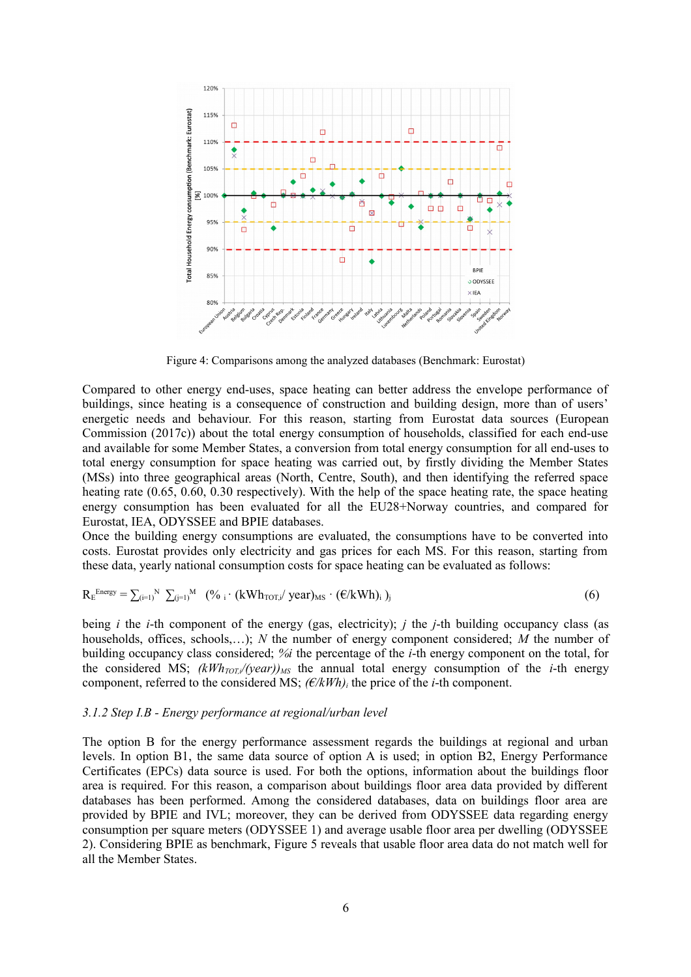

Figure 4: Comparisons among the analyzed databases (Benchmark: Eurostat)

Compared to other energy end-uses, space heating can better address the envelope performance of buildings, since heating is a consequence of construction and building design, more than of users' energetic needs and behaviour. For this reason, starting from Eurostat data sources (European Commission (2017c)) about the total energy consumption of households, classified for each end-use and available for some Member States, a conversion from total energy consumption for all end-uses to total energy consumption for space heating was carried out, by firstly dividing the Member States (MSs) into three geographical areas (North, Centre, South), and then identifying the referred space heating rate (0.65, 0.60, 0.30 respectively). With the help of the space heating rate, the space heating energy consumption has been evaluated for all the EU28+Norway countries, and compared for Eurostat, IEA, ODYSSEE and BPIE databases.

Once the building energy consumptions are evaluated, the consumptions have to be converted into costs. Eurostat provides only electricity and gas prices for each MS. For this reason, starting from these data, yearly national consumption costs for space heating can be evaluated as follows:

$$
R_E^{Energy} = \sum_{(i=1)}^{N} \sum_{(j=1)}^{M} (96 \cdot (kWh_{TOT,i}/year)_{MS} \cdot (\varepsilon/kWh)_{i})_{j}
$$
(6)

being *i* the *i*-th component of the energy (gas, electricity); *j* the *j*-th building occupancy class (as households, offices, schools,…); *N* the number of energy component considered; *M* the number of building occupancy class considered; *%i* the percentage of the *i*-th energy component on the total, for the considered MS;  $(kWh_{TOT}/(year))_{MS}$  the annual total energy consumption of the *i*-th energy component, referred to the considered MS;  $(\epsilon/kWh)$ <sup>*i*</sup> the price of the *i*-th component.

#### *3.1.2 Step I.B - Energy performance at regional/urban level*

The option B for the energy performance assessment regards the buildings at regional and urban levels. In option B1, the same data source of option A is used; in option B2, Energy Performance Certificates (EPCs) data source is used. For both the options, information about the buildings floor area is required. For this reason, a comparison about buildings floor area data provided by different databases has been performed. Among the considered databases, data on buildings floor area are provided by BPIE and IVL; moreover, they can be derived from ODYSSEE data regarding energy consumption per square meters (ODYSSEE 1) and average usable floor area per dwelling (ODYSSEE 2). Considering BPIE as benchmark, Figure 5 reveals that usable floor area data do not match well for all the Member States.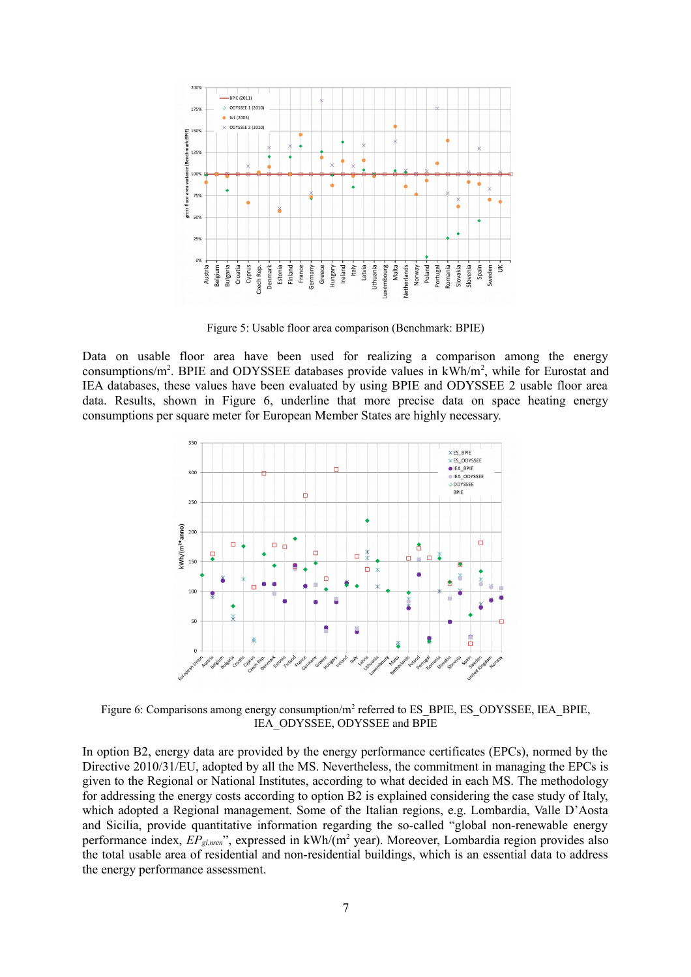

Figure 5: Usable floor area comparison (Benchmark: BPIE)

Data on usable floor area have been used for realizing a comparison among the energy consumptions/ $m^2$ . BPIE and ODYSSEE databases provide values in  $kWh/m^2$ , while for Eurostat and IEA databases, these values have been evaluated by using BPIE and ODYSSEE 2 usable floor area data. Results, shown in Figure 6, underline that more precise data on space heating energy consumptions per square meter for European Member States are highly necessary.



Figure 6: Comparisons among energy consumption/m<sup>2</sup> referred to ES\_BPIE, ES\_ODYSSEE, IEA\_BPIE, IEA\_ODYSSEE, ODYSSEE and BPIE

In option B2, energy data are provided by the energy performance certificates (EPCs), normed by the Directive 2010/31/EU, adopted by all the MS. Nevertheless, the commitment in managing the EPCs is given to the Regional or National Institutes, according to what decided in each MS. The methodology for addressing the energy costs according to option B2 is explained considering the case study of Italy, which adopted a Regional management. Some of the Italian regions, e.g. Lombardia, Valle D'Aosta and Sicilia, provide quantitative information regarding the so-called "global non-renewable energy performance index,  $EP_{gl,men}$ ", expressed in kWh/(m<sup>2</sup> year). Moreover, Lombardia region provides also the total usable area of residential and non-residential buildings, which is an essential data to address the energy performance assessment.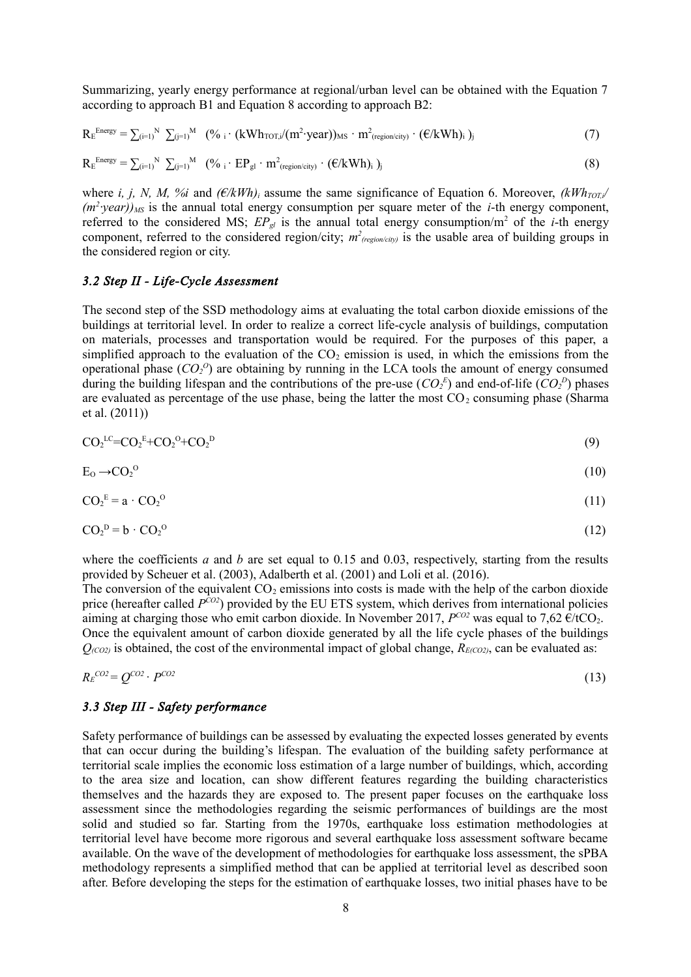Summarizing, yearly energy performance at regional/urban level can be obtained with the Equation 7 according to approach B1 and Equation 8 according to approach B2:

$$
R_E^{Energy} = \sum_{(i=1)}^{N} \sum_{(j=1)}^{M} (96 \cdot i \cdot (kWh_{TOT,i}/(m^2 \cdot year))_{MS} \cdot m^2_{(region/city)} \cdot (\varepsilon/kWh)_i)_j
$$
(7)

$$
R_E^{\text{Energy}} = \sum_{(i=1)}^{N} \sum_{(j=1)}^{M} (\%_i \cdot EP_{gl} \cdot m^2_{(region/city)} \cdot (\varepsilon/kWh)_i)_j
$$
(8)

where *i, j, N, M, %i* and  $(E/kWh)$ *i* assume the same significance of Equation 6. Moreover,  $(kWh_{TOT,i}/kWh_{TOT,i})$ *(m<sup>2</sup> ∙year))MS* is the annual total energy consumption per square meter of the *i*-th energy component, referred to the considered MS;  $EP_{gl}$  is the annual total energy consumption/m<sup>2</sup> of the *i*-th energy component, referred to the considered region/city;  $m^2_{(region/city)}$  is the usable area of building groups in the considered region or city.

#### *3.2 Step II - Life-Cycle Assessment*

The second step of the SSD methodology aims at evaluating the total carbon dioxide emissions of the buildings at territorial level. In order to realize a correct life-cycle analysis of buildings, computation on materials, processes and transportation would be required. For the purposes of this paper, a simplified approach to the evaluation of the  $CO<sub>2</sub>$  emission is used, in which the emissions from the operational phase  $(CO_2^O)$  are obtaining by running in the LCA tools the amount of energy consumed during the building lifespan and the contributions of the pre-use  $(CO_2^E)$  and end-of-life  $(CO_2^D)$  phases are evaluated as percentage of the use phase, being the latter the most  $CO<sub>2</sub>$  consuming phase (Sharma et al. (2011))

$$
CO2LC=CO2E+CO20+CO2D
$$
\n(9)

$$
E_0 \to CO_2^0 \tag{10}
$$

$$
CO_2^E = \mathbf{a} \cdot CO_2^O \tag{11}
$$

$$
CO_2^{\ D} = b \cdot CO_2^{\ O} \tag{12}
$$

where the coefficients  $a$  and  $b$  are set equal to 0.15 and 0.03, respectively, starting from the results provided by Scheuer et al. (2003), Adalberth et al. (2001) and Loli et al. (2016).

The conversion of the equivalent  $CO<sub>2</sub>$  emissions into costs is made with the help of the carbon dioxide price (hereafter called  $P^{CO2}$ ) provided by the EU ETS system, which derives from international policies aiming at charging those who emit carbon dioxide. In November 2017,  $P^{CO2}$  was equal to 7,62  $\epsilon$ /tCO<sub>2</sub>. Once the equivalent amount of carbon dioxide generated by all the life cycle phases of the buildings  $Q_{(CO2)}$  is obtained, the cost of the environmental impact of global change,  $R_{E(CO2)}$ , can be evaluated as:

$$
R_E^{CO2} = Q^{CO2} \cdot P^{CO2} \tag{13}
$$

#### *3.3 Step III - Safety performance*

Safety performance of buildings can be assessed by evaluating the expected losses generated by events that can occur during the building's lifespan. The evaluation of the building safety performance at territorial scale implies the economic loss estimation of a large number of buildings, which, according to the area size and location, can show different features regarding the building characteristics themselves and the hazards they are exposed to. The present paper focuses on the earthquake loss assessment since the methodologies regarding the seismic performances of buildings are the most solid and studied so far. Starting from the 1970s, earthquake loss estimation methodologies at territorial level have become more rigorous and several earthquake loss assessment software became available. On the wave of the development of methodologies for earthquake loss assessment, the sPBA methodology represents a simplified method that can be applied at territorial level as described soon after. Before developing the steps for the estimation of earthquake losses, two initial phases have to be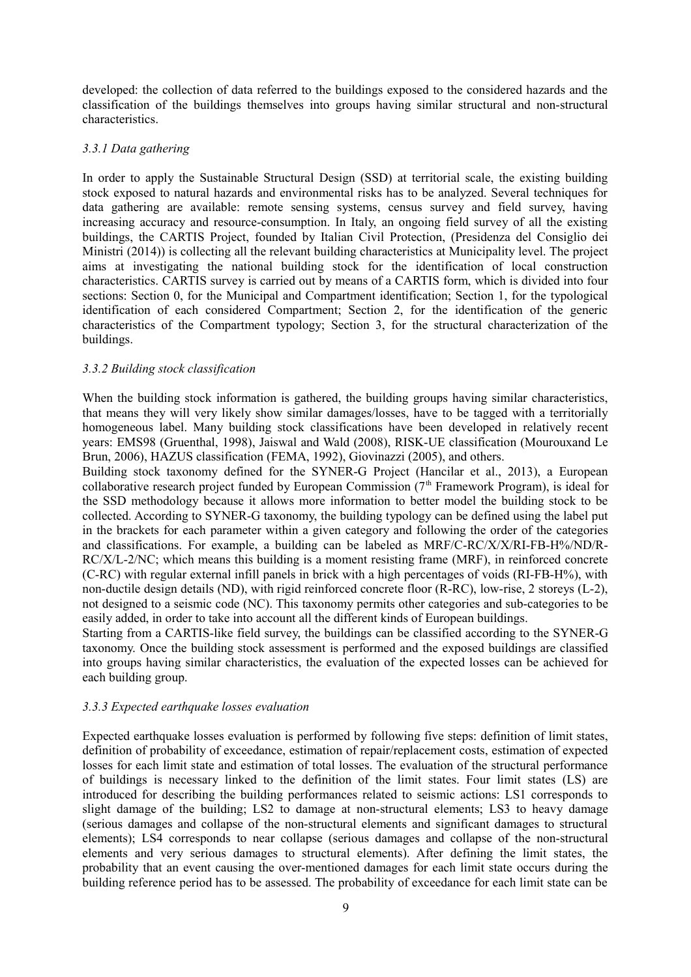developed: the collection of data referred to the buildings exposed to the considered hazards and the classification of the buildings themselves into groups having similar structural and non-structural characteristics.

#### *3.3.1 Data gathering*

In order to apply the Sustainable Structural Design (SSD) at territorial scale, the existing building stock exposed to natural hazards and environmental risks has to be analyzed. Several techniques for data gathering are available: remote sensing systems, census survey and field survey, having increasing accuracy and resource-consumption. In Italy, an ongoing field survey of all the existing buildings, the CARTIS Project, founded by Italian Civil Protection, (Presidenza del Consiglio dei Ministri (2014)) is collecting all the relevant building characteristics at Municipality level. The project aims at investigating the national building stock for the identification of local construction characteristics. CARTIS survey is carried out by means of a CARTIS form, which is divided into four sections: Section 0, for the Municipal and Compartment identification; Section 1, for the typological identification of each considered Compartment; Section 2, for the identification of the generic characteristics of the Compartment typology; Section 3, for the structural characterization of the buildings.

## *3.3.2 Building stock classification*

When the building stock information is gathered, the building groups having similar characteristics, that means they will very likely show similar damages/losses, have to be tagged with a territorially homogeneous label. Many building stock classifications have been developed in relatively recent years: EMS98 (Gruenthal, 1998), Jaiswal and Wald (2008), RISK-UE classification (Mourouxand Le Brun, 2006), HAZUS classification (FEMA, 1992), Giovinazzi (2005), and others.

Building stock taxonomy defined for the SYNER-G Project (Hancilar et al., 2013), a European collaborative research project funded by European Commission  $(7<sup>th</sup>$  Framework Program), is ideal for the SSD methodology because it allows more information to better model the building stock to be collected. According to SYNER-G taxonomy, the building typology can be defined using the label put in the brackets for each parameter within a given category and following the order of the categories and classifications. For example, a building can be labeled as MRF/C-RC/X/X/RI-FB-H%/ND/R-RC/X/L-2/NC; which means this building is a moment resisting frame (MRF), in reinforced concrete (C-RC) with regular external infill panels in brick with a high percentages of voids (RI-FB-H%), with non-ductile design details (ND), with rigid reinforced concrete floor (R-RC), low-rise, 2 storeys (L-2), not designed to a seismic code (NC). This taxonomy permits other categories and sub-categories to be easily added, in order to take into account all the different kinds of European buildings.

Starting from a CARTIS-like field survey, the buildings can be classified according to the SYNER-G taxonomy. Once the building stock assessment is performed and the exposed buildings are classified into groups having similar characteristics, the evaluation of the expected losses can be achieved for each building group.

#### *3.3.3 Expected earthquake losses evaluation*

Expected earthquake losses evaluation is performed by following five steps: definition of limit states, definition of probability of exceedance, estimation of repair/replacement costs, estimation of expected losses for each limit state and estimation of total losses. The evaluation of the structural performance of buildings is necessary linked to the definition of the limit states. Four limit states (LS) are introduced for describing the building performances related to seismic actions: LS1 corresponds to slight damage of the building; LS2 to damage at non-structural elements; LS3 to heavy damage (serious damages and collapse of the non-structural elements and significant damages to structural elements); LS4 corresponds to near collapse (serious damages and collapse of the non-structural elements and very serious damages to structural elements). After defining the limit states, the probability that an event causing the over-mentioned damages for each limit state occurs during the building reference period has to be assessed. The probability of exceedance for each limit state can be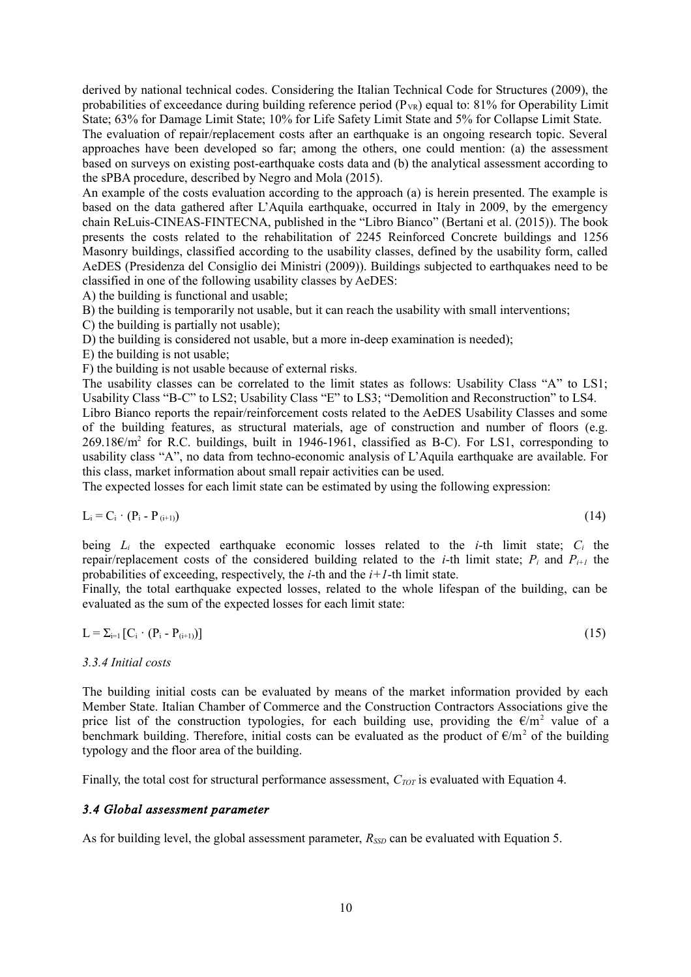derived by national technical codes. Considering the Italian Technical Code for Structures (2009), the probabilities of exceedance during building reference period  $(P_{VR})$  equal to: 81% for Operability Limit State; 63% for Damage Limit State; 10% for Life Safety Limit State and 5% for Collapse Limit State.

The evaluation of repair/replacement costs after an earthquake is an ongoing research topic. Several approaches have been developed so far; among the others, one could mention: (a) the assessment based on surveys on existing post-earthquake costs data and (b) the analytical assessment according to the sPBA procedure, described by Negro and Mola (2015).

An example of the costs evaluation according to the approach (a) is herein presented. The example is based on the data gathered after L'Aquila earthquake, occurred in Italy in 2009, by the emergency chain ReLuis-CINEAS-FINTECNA, published in the "Libro Bianco" (Bertani et al. (2015)). The book presents the costs related to the rehabilitation of 2245 Reinforced Concrete buildings and 1256 Masonry buildings, classified according to the usability classes, defined by the usability form, called AeDES (Presidenza del Consiglio dei Ministri (2009)). Buildings subjected to earthquakes need to be classified in one of the following usability classes by AeDES:

A) the building is functional and usable;

B) the building is temporarily not usable, but it can reach the usability with small interventions;

C) the building is partially not usable);

D) the building is considered not usable, but a more in-deep examination is needed);

E) the building is not usable;

F) the building is not usable because of external risks.

The usability classes can be correlated to the limit states as follows: Usability Class "A" to LS1; Usability Class "B-C" to LS2; Usability Class "E" to LS3; "Demolition and Reconstruction" to LS4. Libro Bianco reports the repair/reinforcement costs related to the AeDES Usability Classes and some of the building features, as structural materials, age of construction and number of floors (e.g. 269.18€/m<sup>2</sup> for R.C. buildings, built in 1946-1961, classified as B-C). For LS1, corresponding to usability class "A", no data from techno-economic analysis of L'Aquila earthquake are available. For this class, market information about small repair activities can be used.

The expected losses for each limit state can be estimated by using the following expression:

$$
L_i = C_i \cdot (P_i - P_{(i+1)}) \tag{14}
$$

being  $L_i$  the expected earthquake economic losses related to the *i*-th limit state;  $C_i$  the repair/replacement costs of the considered building related to the *i*-th limit state;  $P_i$  and  $P_{i+1}$  the probabilities of exceeding, respectively, the *i*-th and the *i+1*-th limit state.

Finally, the total earthquake expected losses, related to the whole lifespan of the building, can be evaluated as the sum of the expected losses for each limit state:

$$
L = \sum_{i=1}^{\infty} \left[ C_i \cdot (P_i - P_{(i+1)}) \right] \tag{15}
$$

#### *3.3.4 Initial costs*

The building initial costs can be evaluated by means of the market information provided by each Member State. Italian Chamber of Commerce and the Construction Contractors Associations give the price list of the construction typologies, for each building use, providing the  $\epsilon/m^2$  value of a benchmark building. Therefore, initial costs can be evaluated as the product of  $\epsilon/m^2$  of the building typology and the floor area of the building.

Finally, the total cost for structural performance assessment,  $C_{TOT}$  is evaluated with Equation 4.

#### *3.4 Global assessment parameter*

As for building level, the global assessment parameter,  $R_{SD}$  can be evaluated with Equation 5.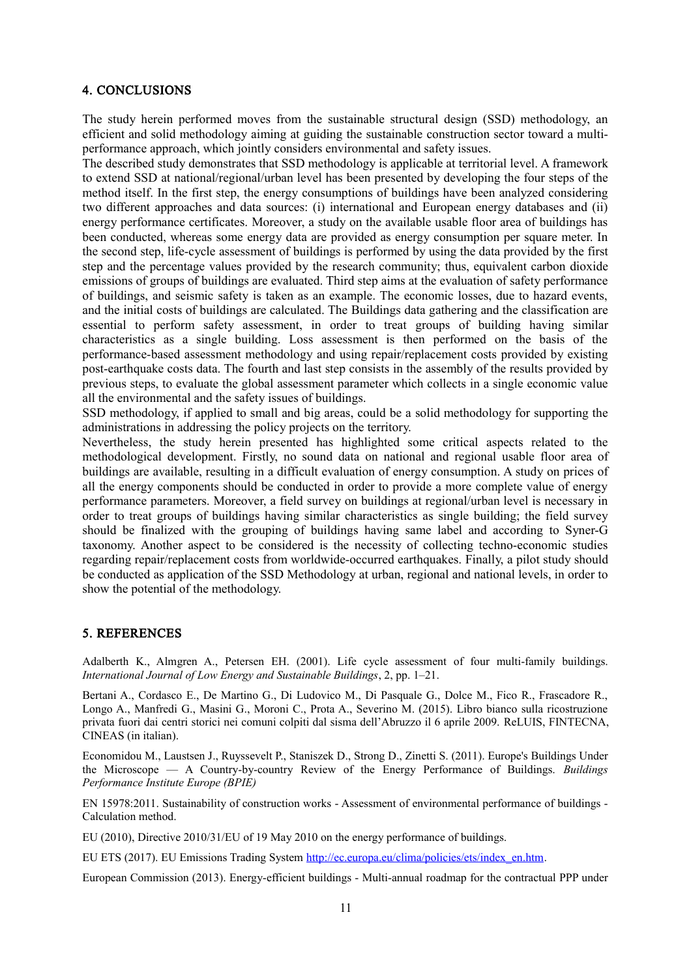## 4. CONCLUSIONS

The study herein performed moves from the sustainable structural design (SSD) methodology, an efficient and solid methodology aiming at guiding the sustainable construction sector toward a multiperformance approach, which jointly considers environmental and safety issues.

The described study demonstrates that SSD methodology is applicable at territorial level. A framework to extend SSD at national/regional/urban level has been presented by developing the four steps of the method itself. In the first step, the energy consumptions of buildings have been analyzed considering two different approaches and data sources: (i) international and European energy databases and (ii) energy performance certificates. Moreover, a study on the available usable floor area of buildings has been conducted, whereas some energy data are provided as energy consumption per square meter. In the second step, life-cycle assessment of buildings is performed by using the data provided by the first step and the percentage values provided by the research community; thus, equivalent carbon dioxide emissions of groups of buildings are evaluated. Third step aims at the evaluation of safety performance of buildings, and seismic safety is taken as an example. The economic losses, due to hazard events, and the initial costs of buildings are calculated. The Buildings data gathering and the classification are essential to perform safety assessment, in order to treat groups of building having similar characteristics as a single building. Loss assessment is then performed on the basis of the performance-based assessment methodology and using repair/replacement costs provided by existing post-earthquake costs data. The fourth and last step consists in the assembly of the results provided by previous steps, to evaluate the global assessment parameter which collects in a single economic value all the environmental and the safety issues of buildings.

SSD methodology, if applied to small and big areas, could be a solid methodology for supporting the administrations in addressing the policy projects on the territory.

Nevertheless, the study herein presented has highlighted some critical aspects related to the methodological development. Firstly, no sound data on national and regional usable floor area of buildings are available, resulting in a difficult evaluation of energy consumption. A study on prices of all the energy components should be conducted in order to provide a more complete value of energy performance parameters. Moreover, a field survey on buildings at regional/urban level is necessary in order to treat groups of buildings having similar characteristics as single building; the field survey should be finalized with the grouping of buildings having same label and according to Syner-G taxonomy. Another aspect to be considered is the necessity of collecting techno-economic studies regarding repair/replacement costs from worldwide-occurred earthquakes. Finally, a pilot study should be conducted as application of the SSD Methodology at urban, regional and national levels, in order to show the potential of the methodology.

# 5. REFERENCES

Adalberth K., Almgren A., Petersen EH. (2001). Life cycle assessment of four multi-family buildings. *International Journal of Low Energy and Sustainable Buildings*, 2, pp. 1–21.

Bertani A., Cordasco E., De Martino G., Di Ludovico M., Di Pasquale G., Dolce M., Fico R., Frascadore R., Longo A., Manfredi G., Masini G., Moroni C., Prota A., Severino M. (2015). Libro bianco sulla ricostruzione privata fuori dai centri storici nei comuni colpiti dal sisma dell'Abruzzo il 6 aprile 2009. ReLUIS, FINTECNA, CINEAS (in italian).

Economidou M., Laustsen J., Ruyssevelt P., Staniszek D., Strong D., Zinetti S. (2011). Europe's Buildings Under the Microscope — A Country-by-country Review of the Energy Performance of Buildings. *Buildings Performance Institute Europe (BPIE)*

EN 15978:2011. Sustainability of construction works - Assessment of environmental performance of buildings - Calculation method.

EU (2010), Directive 2010/31/EU of 19 May 2010 on the energy performance of buildings.

EU ETS (2017). EU Emissions Trading System [http://ec.europa.eu/clima/policies/ets/index\\_en.htm.](http://ec.europa.eu/clima/policies/ets/index_en.htm)

European Commission (2013). Energy-efficient buildings - Multi-annual roadmap for the contractual PPP under